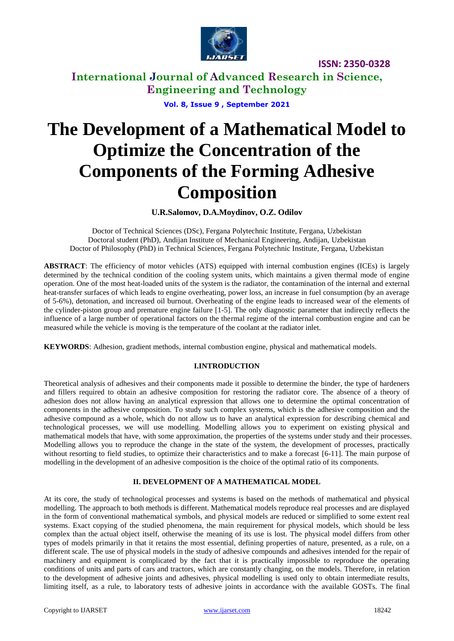

**ISSN: 2350-0328**

**International Journal of Advanced Research in Science, Engineering and Technology**

**Vol. 8, Issue 9 , September 2021**

# **The Development of a Mathematical Model to Optimize the Concentration of the Components of the Forming Adhesive Composition**

**U.R.Salomov, D.A.Moydinov, O.Z. Odilov**

Doctor of Technical Sciences (DSc), Fergana Polytechnic Institute, Fergana, Uzbekistan Doctoral student (PhD), Andijan Institute of Mechanical Engineering, Andijan, Uzbekistan Doctor of Philosophy (PhD) in Technical Sciences, Fergana Polytechnic Institute, Fergana, Uzbekistan

**ABSTRACT**: The efficiency of motor vehicles (ATS) equipped with internal combustion engines (ICEs) is largely determined by the technical condition of the cooling system units, which maintains a given thermal mode of engine operation. One of the most heat-loaded units of the system is the radiator, the contamination of the internal and external heat-transfer surfaces of which leads to engine overheating, power loss, an increase in fuel consumption (by an average of 5-6%), detonation, and increased oil burnout. Overheating of the engine leads to increased wear of the elements of the cylinder-piston group and premature engine failure [1-5]. The only diagnostic parameter that indirectly reflects the influence of a large number of operational factors on the thermal regime of the internal combustion engine and can be measured while the vehicle is moving is the temperature of the coolant at the radiator inlet.

**KEYWORDS**: Adhesion, gradient methods, internal combustion engine, physical and mathematical models.

### **I.INTRODUCTION**

Theoretical analysis of adhesives and their components made it possible to determine the binder, the type of hardeners and fillers required to obtain an adhesive composition for restoring the radiator core. The absence of a theory of adhesion does not allow having an analytical expression that allows one to determine the optimal concentration of components in the adhesive composition. To study such complex systems, which is the adhesive composition and the adhesive compound as a whole, which do not allow us to have an analytical expression for describing chemical and technological processes, we will use modelling. Modelling allows you to experiment on existing physical and mathematical models that have, with some approximation, the properties of the systems under study and their processes. Modelling allows you to reproduce the change in the state of the system, the development of processes, practically without resorting to field studies, to optimize their characteristics and to make a forecast [6-11]. The main purpose of modelling in the development of an adhesive composition is the choice of the optimal ratio of its components.

### **II. DEVELOPMENT OF A MATHEMATICAL MODEL**

At its core, the study of technological processes and systems is based on the methods of mathematical and physical modelling. The approach to both methods is different. Mathematical models reproduce real processes and are displayed in the form of conventional mathematical symbols, and physical models are reduced or simplified to some extent real systems. Exact copying of the studied phenomena, the main requirement for physical models, which should be less complex than the actual object itself, otherwise the meaning of its use is lost. The physical model differs from other types of models primarily in that it retains the most essential, defining properties of nature, presented, as a rule, on a different scale. The use of physical models in the study of adhesive compounds and adhesives intended for the repair of machinery and equipment is complicated by the fact that it is practically impossible to reproduce the operating conditions of units and parts of cars and tractors, which are constantly changing, on the models. Therefore, in relation to the development of adhesive joints and adhesives, physical modelling is used only to obtain intermediate results, limiting itself, as a rule, to laboratory tests of adhesive joints in accordance with the available GOSTs. The final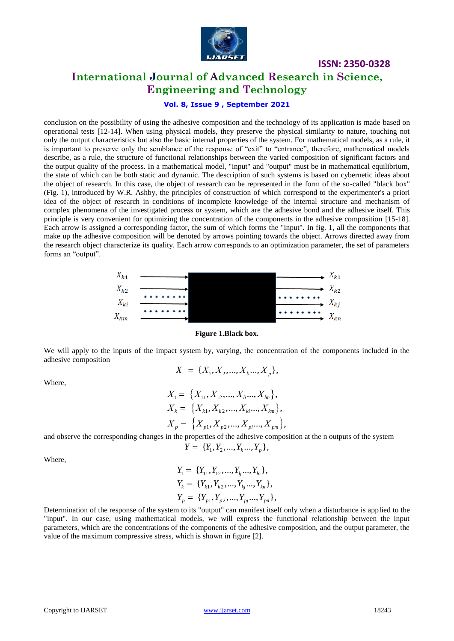

## **International Journal of Advanced Research in Science, Engineering and Technology**

**ISSN: 2350-0328**

### **Vol. 8, Issue 9 , September 2021**

conclusion on the possibility of using the adhesive composition and the technology of its application is made based on operational tests [12-14]. When using physical models, they preserve the physical similarity to nature, touching not only the output characteristics but also the basic internal properties of the system. For mathematical models, as a rule, it is important to preserve only the semblance of the response of "exit" to "entrance", therefore, mathematical models describe, as a rule, the structure of functional relationships between the varied composition of significant factors and the output quality of the process. In a mathematical model, "input" and "output" must be in mathematical equilibrium, the state of which can be both static and dynamic. The description of such systems is based on cybernetic ideas about the object of research. In this case, the object of research can be represented in the form of the so-called "black box" (Fig. 1), introduced by W.R. Ashby, the principles of construction of which correspond to the experimenter's a priori idea of the object of research in conditions of incomplete knowledge of the internal structure and mechanism of complex phenomena of the investigated process or system, which are the adhesive bond and the adhesive itself. This principle is very convenient for optimizing the concentration of the components in the adhesive composition [15-18]. Each arrow is assigned a corresponding factor, the sum of which forms the "input". In fig. 1, all the components that make up the adhesive composition will be denoted by arrows pointing towards the object. Arrows directed away from the research object characterize its quality. Each arrow corresponds to an optimization parameter, the set of parameters forms an "output".



**Figure 1.Black box.**

We will apply to the inputs of the impact system by, varying, the concentration of the components included in the adhesive composition

$$
X = \{X_1, X_2, \dots, X_k, \dots, X_p\},\
$$

Where,

$$
X_1 = \{X_{11}, X_{12}, ..., X_{li}, X_{lm}\},
$$
  
\n
$$
X_k = \{X_{k1}, X_{k2}, ..., X_{ki}, X_{km}\},
$$
  
\n
$$
X_p = \{X_{p1}, X_{p2}, ..., X_{pi}, X_{pm}\},
$$

and observe the corresponding changes in the properties of the adhesive composition at the n outputs of the system  $Y = \{Y_1, Y_2, ..., Y_k, ..., Y_p\},$ 

$$
Y = \{Y_1, Y_2, \ldots, Y_k, \ldots, Y_p\},\
$$

Where,

$$
Y_1 = \{Y_{11}, Y_{12}, ..., Y_{lj}, ..., Y_{ln}\},
$$
  
\n
$$
Y_k = \{Y_{k1}, Y_{k2}, ..., Y_{kj}, ..., Y_{kn}\},
$$
  
\n
$$
Y_p = \{Y_{p1}, Y_{p2}, ..., Y_{pj}, ..., Y_{pn}\},
$$

Determination of the response of the system to its "output" can manifest itself only when a disturbance is applied to the "input". In our case, using mathematical models, we will express the functional relationship between the input parameters, which are the concentrations of the components of the adhesive composition, and the output parameter, the value of the maximum compressive stress, which is shown in figure [2].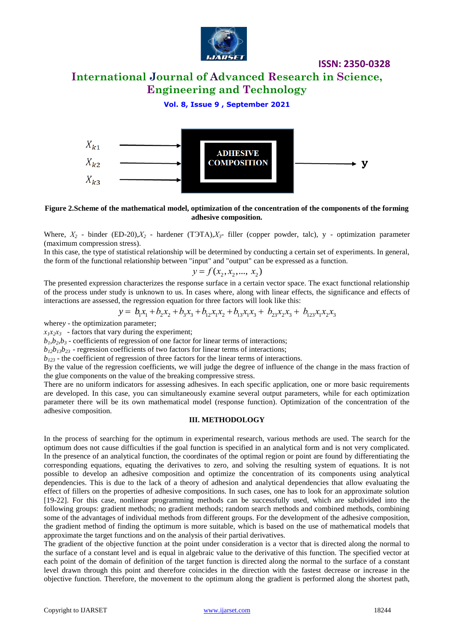

**ISSN: 2350-0328**

### **International Journal of Advanced Research in Science, Engineering and Technology**

### **Vol. 8, Issue 9 , September 2021**



**Figure 2.Scheme of the mathematical model, optimization of the concentration of the components of the forming adhesive composition.**

Where,  $X_2$  - binder (ED-20), $X_2$  - hardener (TOTA), $X_3$ - filler (copper powder, talc), y - optimization parameter (maximum compression stress).

In this case, the type of statistical relationship will be determined by conducting a certain set of experiments. In general, the form of the functional relationship between "input" and "output" can be expressed as a function.

$$
y = f(x_2, x_2, \dots, x_2)
$$

The presented expression characterizes the response surface in a certain vector space. The exact functional relationship The presented expression characterizes the response surface in a certain vector space. The exact functional relationship<br>of the process under study is unknown to us. In cases where, along with linear effects, the signific interactions are assessed, the regression equation for three factors will look like this:

$$
y = b_1x_1 + b_2x_2 + b_3x_3 + b_{12}x_1x_2 + b_{13}x_1x_3 + b_{23}x_2x_3 + b_{123}x_1x_2x_3
$$

where*y* - the optimization parameter;

 $x_1x_2x_3$  - factors that vary during the experiment;

 $b_1, b_2, b_3$  - coefficients of regression of one factor for linear terms of interactions;

 $b_{12}b_{13}b_{23}$  - regression coefficients of two factors for linear terms of interactions;

*b<sup>123</sup>* - the coefficient of regression of three factors for the linear terms of interactions.

By the value of the regression coefficients, we will judge the degree of influence of the change in the mass fraction of the glue components on the value of the breaking compressive stress.

There are no uniform indicators for assessing adhesives. In each specific application, one or more basic requirements are developed. In this case, you can simultaneously examine several output parameters, while for each optimization parameter there will be its own mathematical model (response function). Optimization of the concentration of the adhesive composition.

### **III. METHODOLOGY**

In the process of searching for the optimum in experimental research, various methods are used. The search for the optimum does not cause difficulties if the goal function is specified in an analytical form and is not very complicated. In the presence of an analytical function, the coordinates of the optimal region or point are found by differentiating the corresponding equations, equating the derivatives to zero, and solving the resulting system of equations. It is not possible to develop an adhesive composition and optimize the concentration of its components using analytical dependencies. This is due to the lack of a theory of adhesion and analytical dependencies that allow evaluating the effect of fillers on the properties of adhesive compositions. In such cases, one has to look for an approximate solution [19-22]. For this case, nonlinear programming methods can be successfully used, which are subdivided into the following groups: gradient methods; no gradient methods; random search methods and combined methods, combining some of the advantages of individual methods from different groups. For the development of the adhesive composition, the gradient method of finding the optimum is more suitable, which is based on the use of mathematical models that approximate the target functions and on the analysis of their partial derivatives.

The gradient of the objective function at the point under consideration is a vector that is directed along the normal to the surface of a constant level and is equal in algebraic value to the derivative of this function. The specified vector at each point of the domain of definition of the target function is directed along the normal to the surface of a constant level drawn through this point and therefore coincides in the direction with the fastest decrease or increase in the objective function. Therefore, the movement to the optimum along the gradient is performed along the shortest path,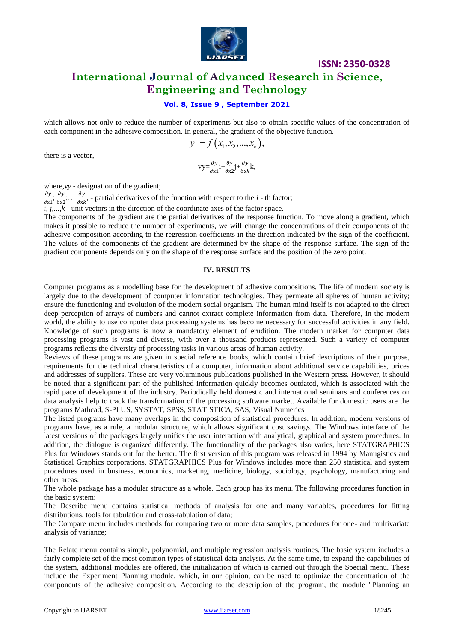

### **ISSN: 2350-0328 International Journal of Advanced Research in Science, Engineering and Technology**

### **Vol. 8, Issue 9 , September 2021**

which allows not only to reduce the number of experiments but also to obtain specific values of the concentration of each component in the adhesive composition. In general, the gradient of the objective function.

$$
y = f(x_1, x_2, ..., x_{k}),
$$

there is a vector,

$$
vy = \frac{\partial y}{\partial x_1}i + \frac{\partial y}{\partial x_2}j + \frac{\partial y}{\partial x_3}k,
$$

where*,vy* - designation of the gradient;

д  $\frac{\partial y}{\partial x^1}$ ;  $\frac{\partial}{\partial x}$  $\frac{\partial y}{\partial x^2}, \ldots \frac{\partial y}{\partial x}$  $\frac{\partial y}{\partial x^k}$ , - partial derivatives of the function with respect to the *i* - th factor;

 $\overline{i}$ ,  $\overline{j}$ ,..., $\overline{k}$  - unit vectors in the direction of the coordinate axes of the factor space.

The components of the gradient are the partial derivatives of the response function. To move along a gradient, which makes it possible to reduce the number of experiments, we will change the concentrations of their components of the adhesive composition according to the regression coefficients in the direction indicated by the sign of the coefficient. The values of the components of the gradient are determined by the shape of the response surface. The sign of the gradient components depends only on the shape of the response surface and the position of the zero point.

#### **IV. RESULTS**

Computer programs as a modelling base for the development of adhesive compositions. The life of modern society is largely due to the development of computer information technologies. They permeate all spheres of human activity; ensure the functioning and evolution of the modern social organism. The human mind itself is not adapted to the direct deep perception of arrays of numbers and cannot extract complete information from data. Therefore, in the modern world, the ability to use computer data processing systems has become necessary for successful activities in any field. Knowledge of such programs is now a mandatory element of erudition. The modern market for computer data processing programs is vast and diverse, with over a thousand products represented. Such a variety of computer programs reflects the diversity of processing tasks in various areas of human activity.

Reviews of these programs are given in special reference books, which contain brief descriptions of their purpose, requirements for the technical characteristics of a computer, information about additional service capabilities, prices and addresses of suppliers. These are very voluminous publications published in the Western press. However, it should be noted that a significant part of the published information quickly becomes outdated, which is associated with the rapid pace of development of the industry. Periodically held domestic and international seminars and conferences on data analysis help to track the transformation of the processing software market. Available for domestic users are the programs Mathcad, S-PLUS, SYSTAT, SPSS, STATISTICA, SAS, Visual Numerics

The listed programs have many overlaps in the composition of statistical procedures. In addition, modern versions of programs have, as a rule, a modular structure, which allows significant cost savings. The Windows interface of the latest versions of the packages largely unifies the user interaction with analytical, graphical and system procedures. In addition, the dialogue is organized differently. The functionality of the packages also varies, here STATGRAPHICS Plus for Windows stands out for the better. The first version of this program was released in 1994 by Manugistics and Statistical Graphics corporations. STATGRAPHICS Plus for Windows includes more than 250 statistical and system procedures used in business, economics, marketing, medicine, biology, sociology, psychology, manufacturing and other areas.

The whole package has a modular structure as a whole. Each group has its menu. The following procedures function in the basic system:

The Describe menu contains statistical methods of analysis for one and many variables, procedures for fitting distributions, tools for tabulation and cross-tabulation of data;

The Compare menu includes methods for comparing two or more data samples, procedures for one- and multivariate analysis of variance;

The Relate menu contains simple, polynomial, and multiple regression analysis routines. The basic system includes a fairly complete set of the most common types of statistical data analysis. At the same time, to expand the capabilities of the system, additional modules are offered, the initialization of which is carried out through the Special menu. These include the Experiment Planning module, which, in our opinion, can be used to optimize the concentration of the components of the adhesive composition. According to the description of the program, the module "Planning an